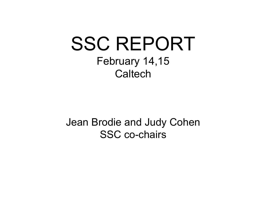# SSC REPORT February 14,15 **Caltech**

### Jean Brodie and Judy Cohen SSC co-chairs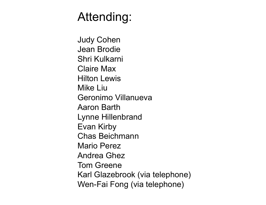## Attending:

Judy Cohen Jean Brodie Shri Kulkarni Claire Max Hilton Lewis Mike Liu Geronimo Villanueva Aaron Barth Lynne Hillenbrand Evan Kirby Chas Beichmann Mario Perez Andrea Ghez Tom Greene Karl Glazebrook (via telephone) Wen-Fai Fong (via telephone)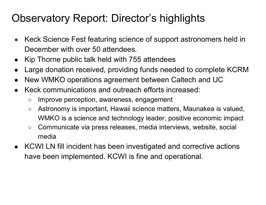### Observatory Report: Director's highlights

- Keck Science Fest featuring science of support astronomers held in December with over 50 attendees.
- Kip Thorne public talk held with 755 attendees
- Large donation received, providing funds needed to complete KCRM
- New WMKO operations agreement between Caltech and UC
- Keck communications and outreach efforts increased:
	- Improve perception, awareness, engagement
	- Astronomy is important, Hawaii science matters, Maunakea is valued, WMKO is a science and technology leader, positive economic impact
	- Communicate via press releases, media interviews, website, social media
- KCWI LN fill incident has been investigated and corrective actions have been implemented. KCWI is fine and operational.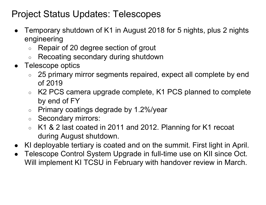#### Project Status Updates: Telescopes

- Temporary shutdown of K1 in August 2018 for 5 nights, plus 2 nights engineering
	- Repair of 20 degree section of grout
	- Recoating secondary during shutdown
- Telescope optics
	- 25 primary mirror segments repaired, expect all complete by end of 2019
	- K2 PCS camera upgrade complete, K1 PCS planned to complete by end of FY
	- Primary coatings degrade by 1.2%/year
	- Secondary mirrors:
	- $\circ$  K1 & 2 last coated in 2011 and 2012. Planning for K1 recoat during August shutdown.
- KI deployable tertiary is coated and on the summit. First light in April.
- Telescope Control System Upgrade in full-time use on KII since Oct. Will implement KI TCSU in February with handover review in March.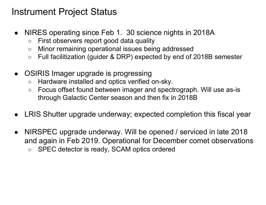#### Instrument Project Status

- NIRES operating since Feb 1. 30 science nights in 2018A
	- First observers report good data quality
	- Minor remaining operational issues being addressed
	- Full facilitization (guider & DRP) expected by end of 2018B semester
- OSIRIS Imager upgrade is progressing
	- Hardware installed and optics verified on-sky.
	- Focus offset found between imager and spectrograph. Will use as-is through Galactic Center season and then fix in 2018B
- LRIS Shutter upgrade underway; expected completion this fiscal year
- NIRSPEC upgrade underway. Will be opened / serviced in late 2018 and again in Feb 2019. Operational for December comet observations ○ SPEC detector is ready, SCAM optics ordered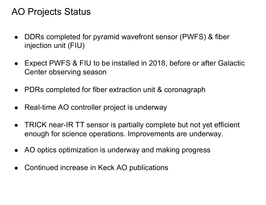#### AO Projects Status

- DDRs completed for pyramid wavefront sensor (PWFS) & fiber injection unit (FIU)
- Expect PWFS & FIU to be installed in 2018, before or after Galactic Center observing season
- PDRs completed for fiber extraction unit & coronagraph
- Real-time AO controller project is underway
- TRICK near-IR TT sensor is partially complete but not yet efficient enough for science operations. Improvements are underway.
- AO optics optimization is underway and making progress
- Continued increase in Keck AO publications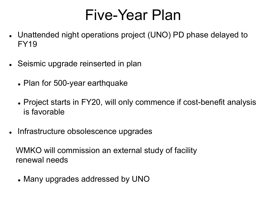# Five-Year Plan

- Unattended night operations project (UNO) PD phase delayed to FY19
- Seismic upgrade reinserted in plan
	- Plan for 500-year earthquake
	- Project starts in FY20, will only commence if cost-benefit analysis is favorable
- Infrastructure obsolescence upgrades

 WMKO will commission an external study of facility renewal needs

. Many upgrades addressed by UNO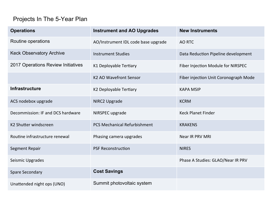#### Projects In The 5-Year Plan

| <b>Operations</b>                  | <b>Instrument and AO Upgrades</b>   | <b>New Instruments</b>                |
|------------------------------------|-------------------------------------|---------------------------------------|
| Routine operations                 | AO/Instrument IDL code base upgrade | AO RTC                                |
| <b>Keck Observatory Archive</b>    | <b>Instrument Studies</b>           | Data Reduction Pipeline development   |
| 2017 Operations Review Initiatives | K1 Deployable Tertiary              | Fiber Injection Module for NIRSPEC    |
|                                    | K2 AO Wavefront Sensor              | Fiber injection Unit Coronograph Mode |
| <b>Infrastructure</b>              | K2 Deployable Tertiary              | <b>KAPA MSIP</b>                      |
| ACS nodebox upgrade                | <b>NIRC2 Upgrade</b>                | <b>KCRM</b>                           |
| Decommission: IF and DCS hardware  | NIRSPEC upgrade                     | <b>Keck Planet Finder</b>             |
| K2 Shutter windscreen              | <b>PCS Mechanical Refurbishment</b> | <b>KRAKENS</b>                        |
| Routine infrastructure renewal     | Phasing camera upgrades             | <b>Near IR PRV MRI</b>                |
| Segment Repair                     | <b>PSF Reconstruction</b>           | <b>NIRES</b>                          |
| Seismic Upgrades                   |                                     | Phase A Studies: GLAO/Near IR PRV     |
| <b>Spare Secondary</b>             | <b>Cost Savings</b>                 |                                       |
| Unattended night ops (UNO)         | Summit photovoltaic system          |                                       |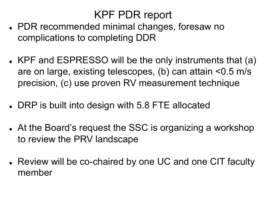### KPF PDR report

- PDR recommended minimal changes, foresaw no complications to completing DDR
- KPF and ESPRESSO will be the only instruments that (a) are on large, existing telescopes, (b) can attain <0.5 m/s precision, (c) use proven RV measurement technique
- DRP is built into design with 5.8 FTE allocated
- At the Board's request the SSC is organizing a workshop to review the PRV landscape
- Review will be co-chaired by one UC and one CIT faculty member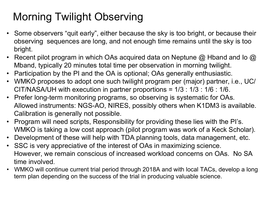### Morning Twilight Observing

- Some observers "quit early", either because the sky is too bright, or because their observing sequences are long, and not enough time remains until the sky is too bright.
- Recent pilot program in which OAs acquired data on Neptune  $@$  Hband and Io  $@$ Mband, typically 20 minutes total time per observation in morning twilight.
- Participation by the PI and the OA is optional; OAs generally enthusiastic.
- WMKO proposes to adopt one such twilight program per (major) partner, i.e., UC/ CIT/NASA/UH with execution in partner proportions = 1/3 : 1/3 : 1/6 : 1/6.
- Prefer long-term monitoring programs, so observing is systematic for OAs. Allowed instruments: NGS-AO, NIRES, possibly others when K1DM3 is available. Calibration is generally not possible.
- Program will need scripts, Responsibility for providing these lies with the PI's. WMKO is taking a low cost approach (pilot program was work of a Keck Scholar).
- Development of these will help with TDA planning tools, data management, etc.
- SSC is very appreciative of the interest of OAs in maximizing science. However, we remain conscious of increased workload concerns on OAs. No SA time involved.
- WMKO will continue current trial period through 2018A and with local TACs, develop a long term plan depending on the success of the trial in producing valuable science.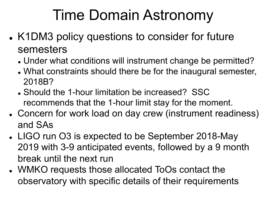# Time Domain Astronomy

- K1DM3 policy questions to consider for future semesters
	- Under what conditions will instrument change be permitted?
	- . What constraints should there be for the inaugural semester, 2018B?
	- Should the 1-hour limitation be increased? SSC recommends that the 1-hour limit stay for the moment.
- Concern for work load on day crew (instrument readiness) and SAs
- LIGO run O3 is expected to be September 2018-May 2019 with 3-9 anticipated events, followed by a 9 month break until the next run
- WMKO requests those allocated ToOs contact the observatory with specific details of their requirements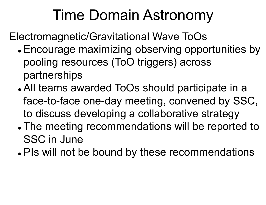# Time Domain Astronomy

Electromagnetic/Gravitational Wave ToOs

- Encourage maximizing observing opportunities by pooling resources (ToO triggers) across partnerships
- All teams awarded ToOs should participate in a face-to-face one-day meeting, convened by SSC, to discuss developing a collaborative strategy
- The meeting recommendations will be reported to SSC in June
- . PIs will not be bound by these recommendations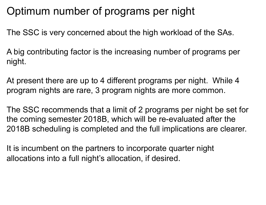### Optimum number of programs per night

The SSC is very concerned about the high workload of the SAs.

A big contributing factor is the increasing number of programs per night.

At present there are up to 4 different programs per night. While 4 program nights are rare, 3 program nights are more common.

The SSC recommends that a limit of 2 programs per night be set for the coming semester 2018B, which will be re-evaluated after the 2018B scheduling is completed and the full implications are clearer.

It is incumbent on the partners to incorporate quarter night allocations into a full night's allocation, if desired.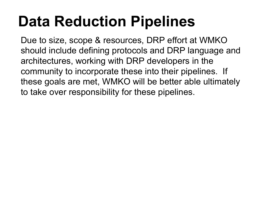# **Data Reduction Pipelines**

Due to size, scope & resources, DRP effort at WMKO should include defining protocols and DRP language and architectures, working with DRP developers in the community to incorporate these into their pipelines. If these goals are met, WMKO will be better able ultimately to take over responsibility for these pipelines.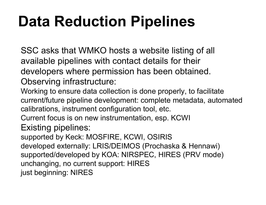# **Data Reduction Pipelines**

SSC asks that WMKO hosts a website listing of all available pipelines with contact details for their developers where permission has been obtained. Observing infrastructure:

Working to ensure data collection is done properly, to facilitate current/future pipeline development: complete metadata, automated calibrations, instrument configuration tool, etc.

Current focus is on new instrumentation, esp. KCWI

Existing pipelines:

supported by Keck: MOSFIRE, KCWI, OSIRIS developed externally: LRIS/DEIMOS (Prochaska & Hennawi) supported/developed by KOA: NIRSPEC, HIRES (PRV mode) unchanging, no current support: HIRES just beginning: NIRES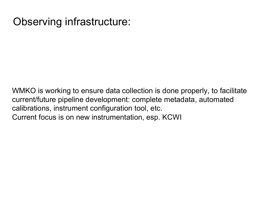#### Observing infrastructure:

WMKO is working to ensure data collection is done properly, to facilitate current/future pipeline development: complete metadata, automated calibrations, instrument configuration tool, etc. Current focus is on new instrumentation, esp. KCWI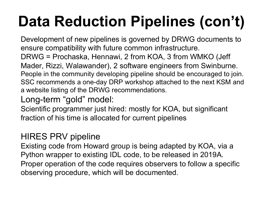# **Data Reduction Pipelines (con't)**

Development of new pipelines is governed by DRWG documents to ensure compatibility with future common infrastructure. DRWG = Prochaska, Hennawi, 2 from KOA, 3 from WMKO (Jeff Mader, Rizzi, Walawander), 2 software engineers from Swinburne. People in the community developing pipeline should be encouraged to join. SSC recommends a one-day DRP workshop attached to the next KSM and a website listing of the DRWG recommendations.

Long-term "gold" model:

Scientific programmer just hired: mostly for KOA, but significant fraction of his time is allocated for current pipelines

#### HIRES PRV pipeline

Existing code from Howard group is being adapted by KOA, via a Python wrapper to existing IDL code, to be released in 2019A. Proper operation of the code requires observers to follow a specific observing procedure, which will be documented.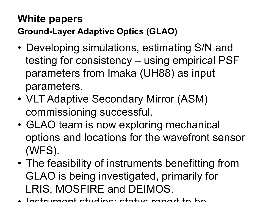### **White papers**

**Ground-Layer Adaptive Optics (GLAO)** 

- Developing simulations, estimating S/N and testing for consistency – using empirical PSF parameters from Imaka (UH88) as input parameters.
- VLT Adaptive Secondary Mirror (ASM) commissioning successful.
- GLAO team is now exploring mechanical options and locations for the wavefront sensor (WFS).
- The feasibility of instruments benefitting from GLAO is being investigated, primarily for LRIS, MOSFIRE and DEIMOS.
- Instrumant studias: status ranort to ha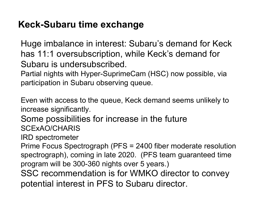#### **Keck-Subaru time exchange**

Huge imbalance in interest: Subaru's demand for Keck has 11:1 oversubscription, while Keck's demand for Subaru is undersubscribed.

Partial nights with Hyper-SuprimeCam (HSC) now possible, via participation in Subaru observing queue.

Even with access to the queue, Keck demand seems unlikely to increase significantly.

Some possibilities for increase in the future SCExAO/CHARIS

IRD spectrometer

Prime Focus Spectrograph (PFS = 2400 fiber moderate resolution spectrograph), coming in late 2020. (PFS team guaranteed time program will be 300-360 nights over 5 years.) SSC recommendation is for WMKO director to convey

potential interest in PFS to Subaru director.